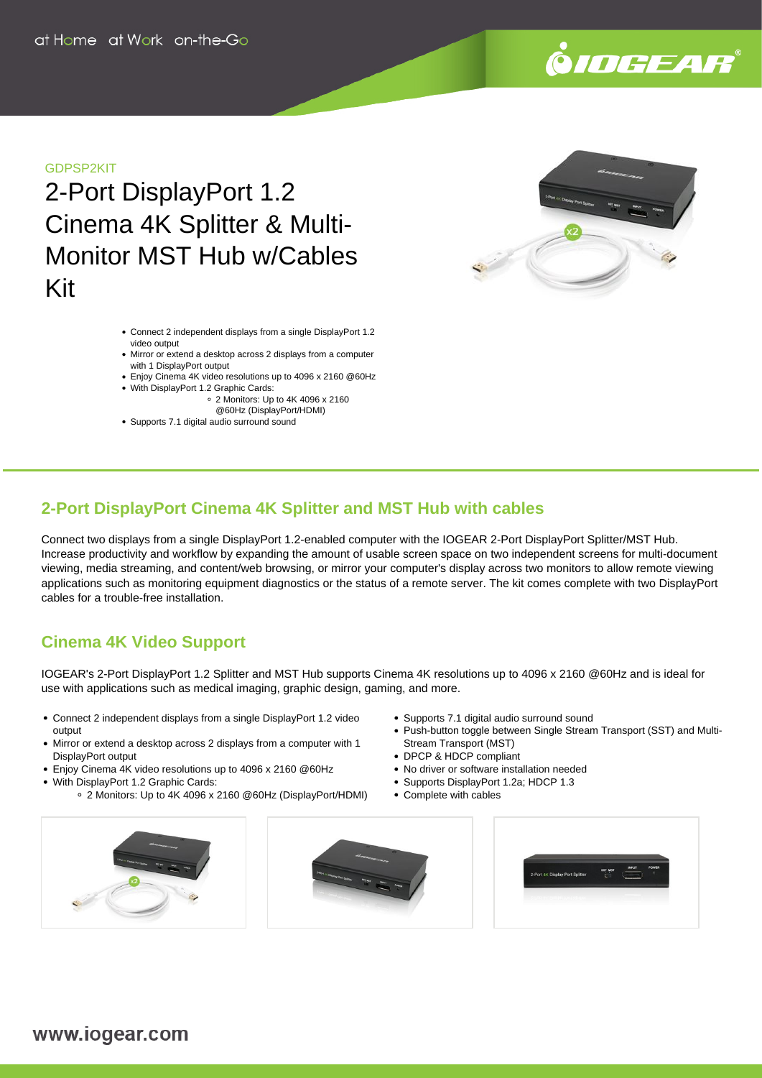

## GDPSP2KIT

2-Port DisplayPort 1.2 Cinema 4K Splitter & Multi-Monitor MST Hub w/Cables Kit

- Connect 2 independent displays from a single DisplayPort 1.2 video output
- Mirror or extend a desktop across 2 displays from a computer with 1 DisplayPort output
- Enjoy Cinema 4K video resolutions up to 4096 x 2160 @60Hz With DisplayPort 1.2 Graphic Cards:
	- 2 Monitors: Up to 4K 4096 x 2160
		- @60Hz (DisplayPort/HDMI)
- Supports 7.1 digital audio surround sound



# **2-Port DisplayPort Cinema 4K Splitter and MST Hub with cables**

Connect two displays from a single DisplayPort 1.2-enabled computer with the IOGEAR 2-Port DisplayPort Splitter/MST Hub. Increase productivity and workflow by expanding the amount of usable screen space on two independent screens for multi-document viewing, media streaming, and content/web browsing, or mirror your computer's display across two monitors to allow remote viewing applications such as monitoring equipment diagnostics or the status of a remote server. The kit comes complete with two DisplayPort cables for a trouble-free installation.

# **Cinema 4K Video Support**

IOGEAR's 2-Port DisplayPort 1.2 Splitter and MST Hub supports Cinema 4K resolutions up to 4096 x 2160 @60Hz and is ideal for use with applications such as medical imaging, graphic design, gaming, and more.

- Connect 2 independent displays from a single DisplayPort 1.2 video output
- Mirror or extend a desktop across 2 displays from a computer with 1 DisplayPort output
- Enjoy Cinema 4K video resolutions up to 4096 x 2160 @60Hz
- With DisplayPort 1.2 Graphic Cards:
	- 2 Monitors: Up to 4K 4096 x 2160 @60Hz (DisplayPort/HDMI)
- Supports 7.1 digital audio surround sound
- Push-button toggle between Single Stream Transport (SST) and Multi-Stream Transport (MST)
- DPCP & HDCP compliant
- No driver or software installation needed
- Supports DisplayPort 1.2a; HDCP 1.3
- Complete with cables